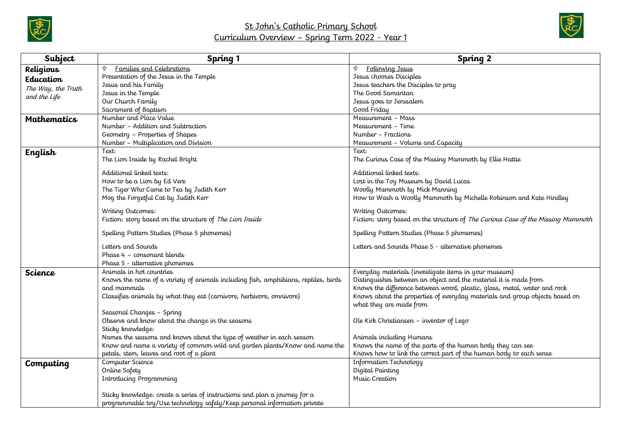



| Subject            | Spring 1                                                                           | Spring 2                                                                         |
|--------------------|------------------------------------------------------------------------------------|----------------------------------------------------------------------------------|
| Religious          | Families and Celebrations                                                          | ⇧<br><u>Following Jesus</u>                                                      |
| Education          | Presentation of the Jesus in the Temple                                            | Jesus chooses Disciples                                                          |
| The Way, the Truth | Jesus and his Family                                                               | Jesus teachers the Disciples to pray                                             |
| and the Life       | Jesus in the Temple                                                                | The Good Samaritan                                                               |
|                    | Our Church Family                                                                  | Jesus goes to Jerusalem                                                          |
|                    | Sacrament of Baptism                                                               | Good Friday                                                                      |
| <b>Mathematics</b> | Number and Place Value                                                             | Measurement – Mass                                                               |
|                    | Number - Addition and Subtraction                                                  | Measurement – Time                                                               |
|                    | Geometry - Properties of Shapes                                                    | Number – Fractions                                                               |
|                    | Number - Multiplication and Division                                               | Measurement - Volume and Capacity                                                |
| English            | Text:                                                                              | Text:                                                                            |
|                    | The Lion Inside by Rachel Bright                                                   | The Curious Case of the Missing Mammoth by Ellie Hattie                          |
|                    | Additional linked texts:                                                           | Additional linked texts:                                                         |
|                    | How to be a Lion by Ed Vere                                                        | Lost in the Toy Museum by David Lucas                                            |
|                    | The Tiger Who Came to Tea by Judith Kerr                                           | Woolly Mammoth by Mick Manning                                                   |
|                    | Mog the Forgetful Cat by Judith Kerr                                               | How to Wash a Woolly Mammoth by Michelle Robinson and Kate Hindley               |
|                    |                                                                                    |                                                                                  |
|                    | Writing Outcomes:                                                                  | Writing Outcomes:                                                                |
|                    | Fiction: story based on the structure of The Lion Inside                           | Fiction: story based on the structure of The Curious Case of the Missing Mammoth |
|                    | Spelling Pattern Studies (Phase 5 phonemes)                                        | Spelling Pattern Studies (Phase 5 phonemes)                                      |
|                    | Letters and Sounds                                                                 | Letters and Sounds Phase 5 - alternative phonemes                                |
|                    | Phase 4 - consonant blends                                                         |                                                                                  |
|                    | Phase 5 - alternative phonemes                                                     |                                                                                  |
| Science            | Animals in hot countries                                                           | Everyday materials (investigate items in your museum)                            |
|                    | Knows the name of a variety of animals including fish, amphibians, reptiles, birds | Distinguishes between an object and the material it is made from                 |
|                    | and mammals                                                                        | Knows the difference between wood, plastic, glass, metal, water and rock         |
|                    | Classifies animals by what they eat (carnivore, herbivore, omnivore)               | Knows about the properties of everyday materials and group objects based on      |
|                    |                                                                                    | what they are made from                                                          |
|                    | Seasonal Changes - Spring                                                          |                                                                                  |
|                    | Observe and know about the change in the seasons                                   | Ole Kirk Christiansen - inventor of Lego                                         |
|                    | Sticky knowledge:                                                                  |                                                                                  |
|                    | Names the seasons and knows about the type of weather in each season               | Animals including Humans                                                         |
|                    | Know and name a variety of common wild and garden plants/Know and name the         | Knows the name of the parts of the human body they can see                       |
|                    | petals, stem, leaves and root of a plant                                           | Knows how to link the correct part of the human body to each sense               |
| Computing          | Computer Science                                                                   | Information Technology                                                           |
|                    | Online Safety                                                                      | Digital Painting                                                                 |
|                    | Introducing Programming                                                            | Music Creation                                                                   |
|                    |                                                                                    |                                                                                  |
|                    | Sticky knowledge: create a series of instructions and plan a journey for a         |                                                                                  |
|                    | programmable toy/Use technology safely/Keep personal information private           |                                                                                  |